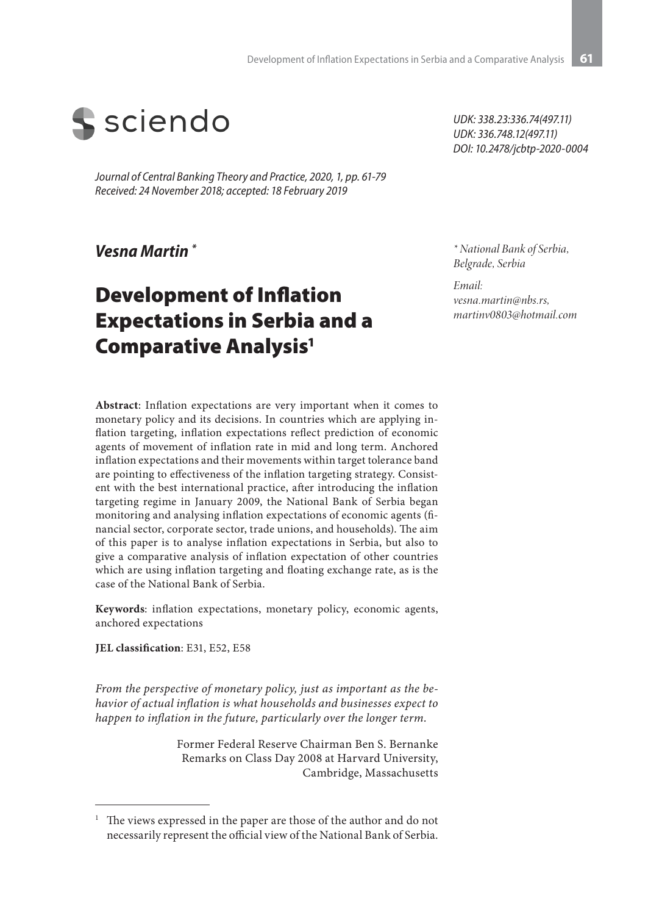

*Journal of Central Banking Theory and Practice, 2020, 1, pp. 61-79 Received: 24 November 2018; accepted: 18 February 2019* 

*Vesna Martin \**

# Development of Inflation Expectations in Serbia and a Comparative Analysis1

**Abstract**: Inflation expectations are very important when it comes to monetary policy and its decisions. In countries which are applying inflation targeting, inflation expectations reflect prediction of economic agents of movement of inflation rate in mid and long term. Anchored inflation expectations and their movements within target tolerance band are pointing to effectiveness of the inflation targeting strategy. Consistent with the best international practice, after introducing the inflation targeting regime in January 2009, the National Bank of Serbia began monitoring and analysing inflation expectations of economic agents (financial sector, corporate sector, trade unions, and households). The aim of this paper is to analyse inflation expectations in Serbia, but also to give a comparative analysis of inflation expectation of other countries which are using inflation targeting and floating exchange rate, as is the case of the National Bank of Serbia.

**Keywords**: inflation expectations, monetary policy, economic agents, anchored expectations

**JEL classification**: E31, E52, E58

*From the perspective of monetary policy, just as important as the behavior of actual inflation is what households and businesses expect to happen to inflation in the future, particularly over the longer term.*

> Former Federal Reserve Chairman Ben S. Bernanke Remarks on Class Day 2008 at Harvard University, Cambridge, Massachusetts

*UDK: 338.23:336.74(497.11) UDK: 336.748.12(497.11) DOI: 10.2478/jcbtp-2020-0004*

*\* National Bank of Serbia, Belgrade, Serbia*

*Email: vesna.martin@nbs.rs, martinv0803@hotmail.com*

The views expressed in the paper are those of the author and do not necessarily represent the official view of the National Bank of Serbia.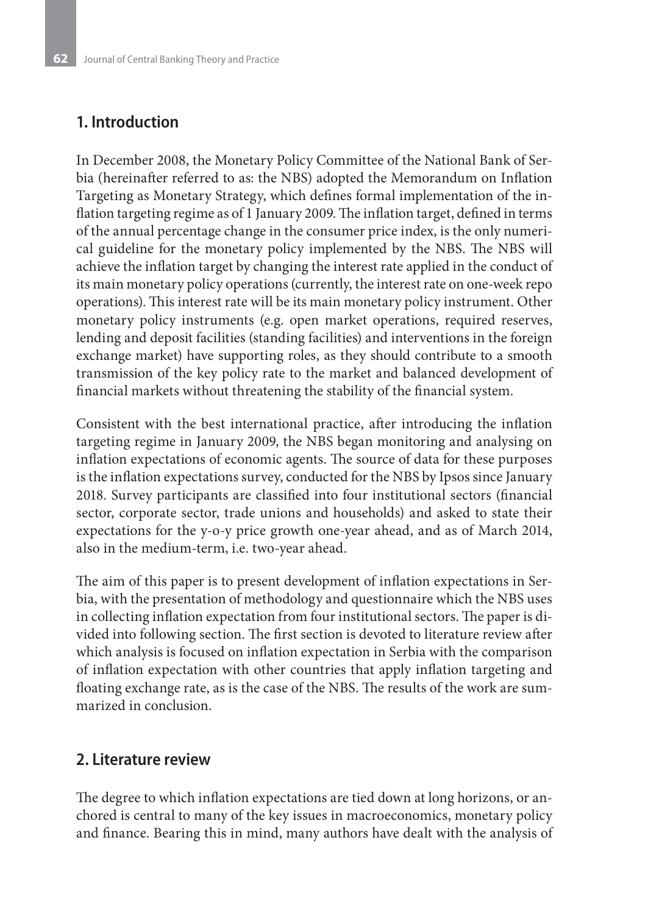### **1. Introduction**

In December 2008, the Monetary Policy Committee of the National Bank of Serbia (hereinafter referred to as: the NBS) adopted the Memorandum on Inflation Targeting as Monetary Strategy, which defines formal implementation of the inflation targeting regime as of 1 January 2009. The inflation target, defined in terms of the annual percentage change in the consumer price index, is the only numerical guideline for the monetary policy implemented by the NBS. The NBS will achieve the inflation target by changing the interest rate applied in the conduct of its main monetary policy operations (currently, the interest rate on one-week repo operations). This interest rate will be its main monetary policy instrument. Other monetary policy instruments (e.g. open market operations, required reserves, lending and deposit facilities (standing facilities) and interventions in the foreign exchange market) have supporting roles, as they should contribute to a smooth transmission of the key policy rate to the market and balanced development of financial markets without threatening the stability of the financial system.

Consistent with the best international practice, after introducing the inflation targeting regime in January 2009, the NBS began monitoring and analysing on inflation expectations of economic agents. The source of data for these purposes is the inflation expectations survey, conducted for the NBS by Ipsos since January 2018. Survey participants are classified into four institutional sectors (financial sector, corporate sector, trade unions and households) and asked to state their expectations for the y-o-y price growth one-year ahead, and as of March 2014, also in the medium-term, i.e. two-year ahead.

The aim of this paper is to present development of inflation expectations in Serbia, with the presentation of methodology and questionnaire which the NBS uses in collecting inflation expectation from four institutional sectors. The paper is divided into following section. The first section is devoted to literature review after which analysis is focused on inflation expectation in Serbia with the comparison of inflation expectation with other countries that apply inflation targeting and floating exchange rate, as is the case of the NBS. The results of the work are summarized in conclusion.

### **2. Literature review**

The degree to which inflation expectations are tied down at long horizons, or anchored is central to many of the key issues in macroeconomics, monetary policy and finance. Bearing this in mind, many authors have dealt with the analysis of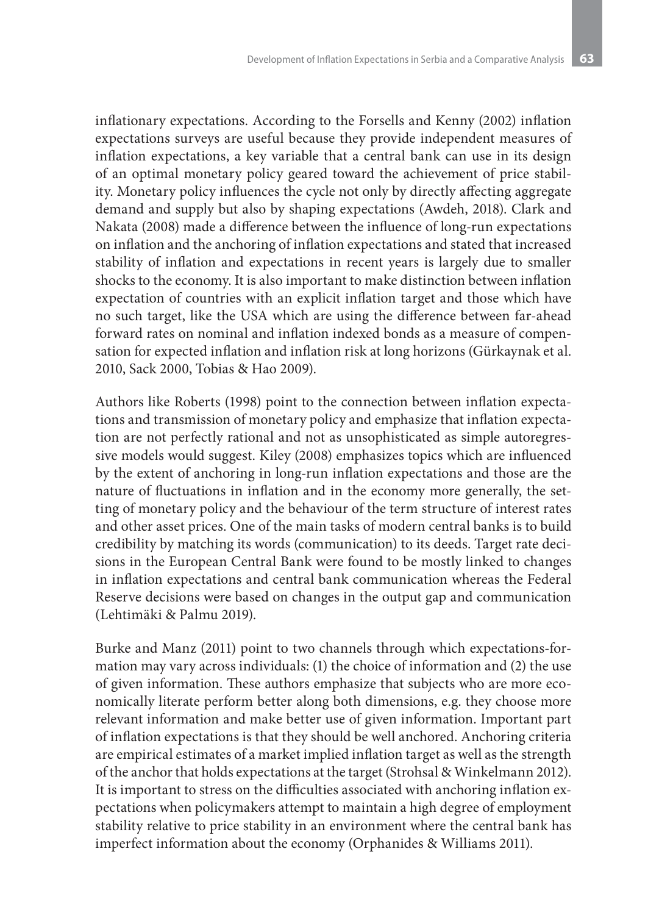inflationary expectations. According to the Forsells and Kenny (2002) inflation expectations surveys are useful because they provide independent measures of inflation expectations, a key variable that a central bank can use in its design of an optimal monetary policy geared toward the achievement of price stability. Monetary policy influences the cycle not only by directly affecting aggregate demand and supply but also by shaping expectations (Awdeh, 2018). Clark and Nakata (2008) made a difference between the influence of long-run expectations on inflation and the anchoring of inflation expectations and stated that increased stability of inflation and expectations in recent years is largely due to smaller shocks to the economy. It is also important to make distinction between inflation expectation of countries with an explicit inflation target and those which have no such target, like the USA which are using the difference between far-ahead forward rates on nominal and inflation indexed bonds as a measure of compensation for expected inflation and inflation risk at long horizons (Gürkaynak et al. 2010, Sack 2000, Tobias & Hao 2009).

Authors like Roberts (1998) point to the connection between inflation expectations and transmission of monetary policy and emphasize that inflation expectation are not perfectly rational and not as unsophisticated as simple autoregressive models would suggest. Kiley (2008) emphasizes topics which are influenced by the extent of anchoring in long-run inflation expectations and those are the nature of fluctuations in inflation and in the economy more generally, the setting of monetary policy and the behaviour of the term structure of interest rates and other asset prices. One of the main tasks of modern central banks is to build credibility by matching its words (communication) to its deeds. Target rate decisions in the European Central Bank were found to be mostly linked to changes in inflation expectations and central bank communication whereas the Federal Reserve decisions were based on changes in the output gap and communication (Lehtimäki & Palmu 2019).

Burke and Manz (2011) point to two channels through which expectations-formation may vary across individuals: (1) the choice of information and (2) the use of given information. These authors emphasize that subjects who are more economically literate perform better along both dimensions, e.g. they choose more relevant information and make better use of given information. Important part of inflation expectations is that they should be well anchored. Anchoring criteria are empirical estimates of a market implied inflation target as well as the strength of the anchor that holds expectations at the target (Strohsal & Winkelmann 2012). It is important to stress on the difficulties associated with anchoring inflation expectations when policymakers attempt to maintain a high degree of employment stability relative to price stability in an environment where the central bank has imperfect information about the economy (Orphanides & Williams 2011).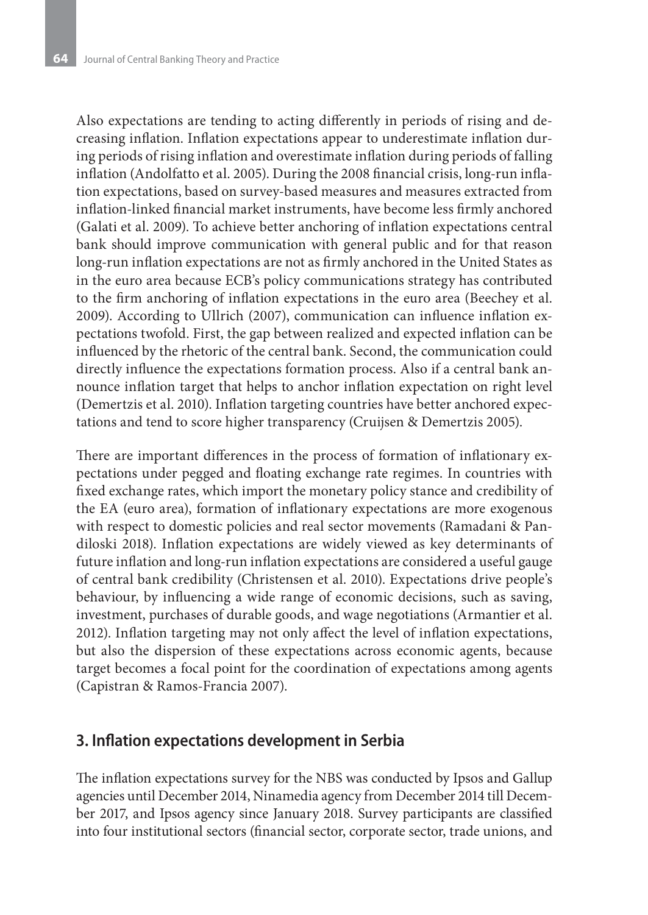Also expectations are tending to acting differently in periods of rising and decreasing inflation. Inflation expectations appear to underestimate inflation during periods of rising inflation and overestimate inflation during periods of falling inflation (Andolfatto et al. 2005). During the 2008 financial crisis, long-run inflation expectations, based on survey-based measures and measures extracted from inflation-linked financial market instruments, have become less firmly anchored (Galati et al. 2009). To achieve better anchoring of inflation expectations central bank should improve communication with general public and for that reason long-run inflation expectations are not as firmly anchored in the United States as in the euro area because ECB's policy communications strategy has contributed to the firm anchoring of inflation expectations in the euro area (Beechey et al. 2009). According to Ullrich (2007), communication can influence inflation expectations twofold. First, the gap between realized and expected inflation can be influenced by the rhetoric of the central bank. Second, the communication could directly influence the expectations formation process. Also if a central bank announce inflation target that helps to anchor inflation expectation on right level (Demertzis et al. 2010). Inflation targeting countries have better anchored expectations and tend to score higher transparency (Cruijsen & Demertzis 2005).

There are important differences in the process of formation of inflationary expectations under pegged and floating exchange rate regimes. In countries with fixed exchange rates, which import the monetary policy stance and credibility of the EA (euro area), formation of inflationary expectations are more exogenous with respect to domestic policies and real sector movements (Ramadani & Pandiloski 2018). Inflation expectations are widely viewed as key determinants of future inflation and long-run inflation expectations are considered a useful gauge of central bank credibility (Christensen et al. 2010). Expectations drive people's behaviour, by influencing a wide range of economic decisions, such as saving, investment, purchases of durable goods, and wage negotiations (Armantier et al. 2012). Inflation targeting may not only affect the level of inflation expectations, but also the dispersion of these expectations across economic agents, because target becomes a focal point for the coordination of expectations among agents (Capistran & Ramos-Francia 2007).

### **3. Inflation expectations development in Serbia**

The inflation expectations survey for the NBS was conducted by Ipsos and Gallup agencies until December 2014, Ninamedia agency from December 2014 till December 2017, and Ipsos agency since January 2018. Survey participants are classified into four institutional sectors (financial sector, corporate sector, trade unions, and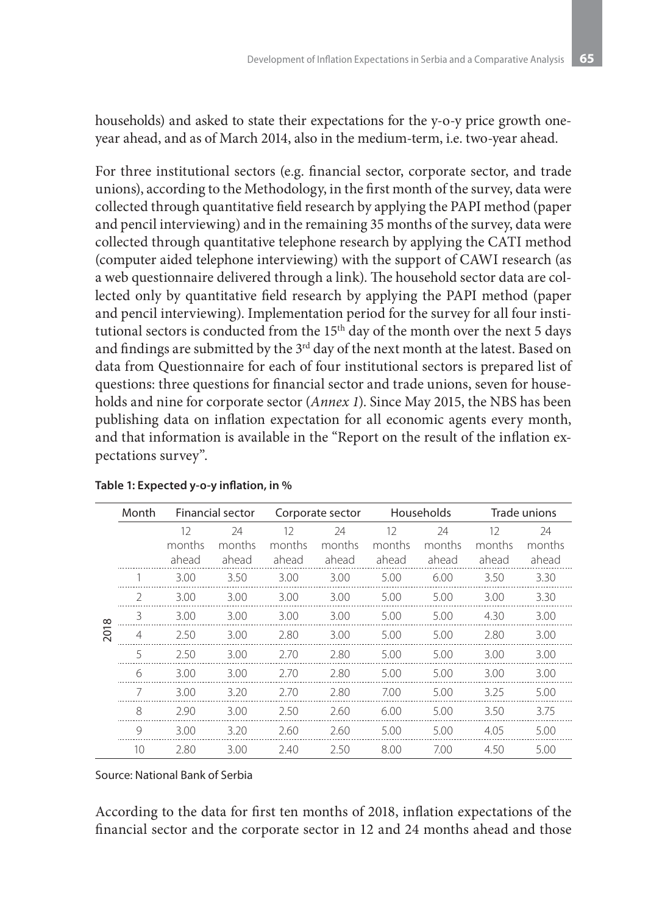households) and asked to state their expectations for the y-o-y price growth oneyear ahead, and as of March 2014, also in the medium-term, i.e. two-year ahead.

For three institutional sectors (e.g. financial sector, corporate sector, and trade unions), according to the Methodology, in the first month of the survey, data were collected through quantitative field research by applying the PAPI method (paper and pencil interviewing) and in the remaining 35 months of the survey, data were collected through quantitative telephone research by applying the CATI method (computer aided telephone interviewing) with the support of CAWI research (as a web questionnaire delivered through a link). The household sector data are collected only by quantitative field research by applying the PAPI method (paper and pencil interviewing). Implementation period for the survey for all four institutional sectors is conducted from the 15<sup>th</sup> day of the month over the next 5 days and findings are submitted by the 3<sup>rd</sup> day of the next month at the latest. Based on data from Questionnaire for each of four institutional sectors is prepared list of questions: three questions for financial sector and trade unions, seven for households and nine for corporate sector (*Annex 1*). Since May 2015, the NBS has been publishing data on inflation expectation for all economic agents every month, and that information is available in the "Report on the result of the inflation expectations survey".

|          | Month           |        | <b>Financial sector</b> | Corporate sector |        | Households |        | Trade unions |        |
|----------|-----------------|--------|-------------------------|------------------|--------|------------|--------|--------------|--------|
|          |                 | 12     | 24                      | 12               | 24     | 12         | 24     | 12           | 24     |
|          |                 | months | months                  | months           | months | months     | months | months       | months |
|          |                 | ahead  | ahead                   | ahead            | ahead  | ahead      | ahead  | ahead        | ahead  |
|          |                 | 3.00   | 3.50                    | 3.00             | 3.00   | 5.00       | 6.00   | 3.50         | 3.30   |
|          | C.              | 3.00   | 3.00                    | 3.00             | 3.00   | 5.00       | 5.00   | 3.00         | 3.30   |
| $\infty$ | 3               | 3.00   | 3.00                    | 3.00             | 3.00   | 5.00       | 5.00   | 4.30         | 3.00   |
| 201      | 4               | 2.50   | 3.00                    | 2.80             | 3.00   | 5.00       | 5.00   | 2.80         | 3.00   |
|          | 5               | 2.50   | 3.00                    | 2.70             | 2.80   | 5.00       | 5.00   | 3.00         | 3.00   |
|          | 6               | 3.00   | 3.00                    | 2.70             | 2.80   | 5.00       | 5.00   | 3.00         | 3.00   |
|          |                 | 3.00   | 3.20                    | 2.70             | 2.80   | 7.00       | 5.00   | 3.25         | 5.00   |
|          | 8               | 2.90   | 3.00                    | 2.50             | 2.60   | 6.00       | 5.00   | 3.50         | 3.75   |
|          | 9               | 3.00   | 3.20                    | 2.60             | 2.60   | 5.00       | 5.00   | 4.05         | 5.00   |
|          | 10 <sup>°</sup> | 2.80   | 3.00                    | 2.40             | 2.50   | 8.00       | 7.00   | 4.50         | 5.00   |

#### **Table 1: Expected y-o-y inflation, in %**

Source: National Bank of Serbia

According to the data for first ten months of 2018, inflation expectations of the financial sector and the corporate sector in 12 and 24 months ahead and those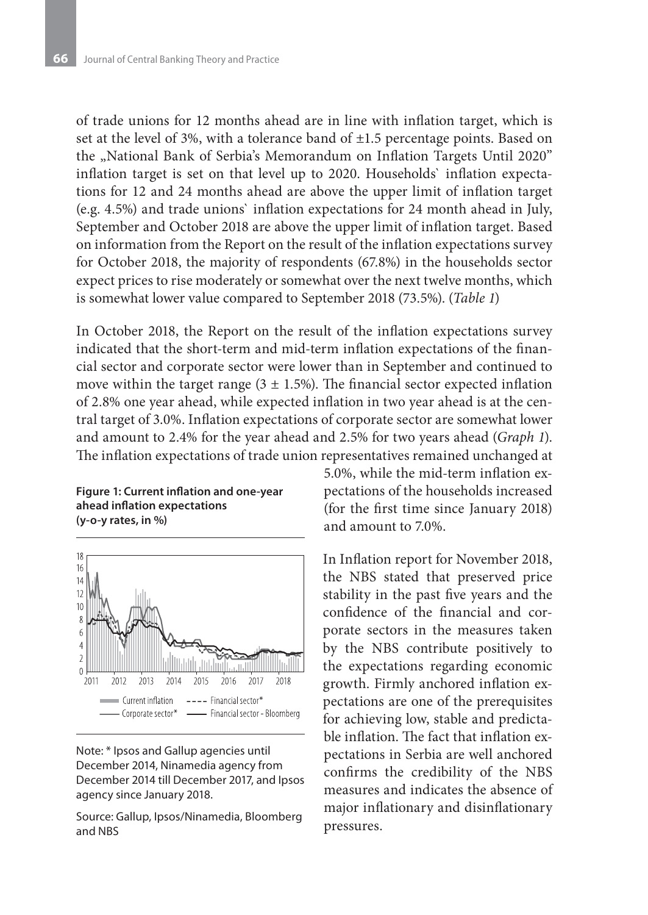of trade unions for 12 months ahead are in line with inflation target, which is set at the level of 3%, with a tolerance band of ±1.5 percentage points. Based on the "National Bank of Serbia's Memorandum on Inflation Targets Until 2020" inflation target is set on that level up to 2020. Households` inflation expectations for 12 and 24 months ahead are above the upper limit of inflation target (e.g. 4.5%) and trade unions` inflation expectations for 24 month ahead in July, September and October 2018 are above the upper limit of inflation target. Based on information from the Report on the result of the inflation expectations survey for October 2018, the majority of respondents (67.8%) in the households sector expect prices to rise moderately or somewhat over the next twelve months, which is somewhat lower value compared to September 2018 (73.5%). (*Table 1*)

In October 2018, the Report on the result of the inflation expectations survey indicated that the short-term and mid-term inflation expectations of the financial sector and corporate sector were lower than in September and continued to move within the target range ( $3 \pm 1.5$ %). The financial sector expected inflation of 2.8% one year ahead, while expected inflation in two year ahead is at the central target of 3.0%. Inflation expectations of corporate sector are somewhat lower and amount to 2.4% for the year ahead and 2.5% for two years ahead (*Graph 1*). The inflation expectations of trade union representatives remained unchanged at

#### **Figure 1: Current inflation and one-year ahead inflation expectations (y-o-y rates, in %)**



Note: \* Ipsos and Gallup agencies until December 2014, Ninamedia agency from December 2014 till December 2017, and Ipsos agency since January 2018.

Source: Gallup, Ipsos/Ninamedia, Bloomberg and NBS

5.0%, while the mid-term inflation expectations of the households increased (for the first time since January 2018) and amount to 7.0%.

In Inflation report for November 2018, the NBS stated that preserved price stability in the past five years and the confidence of the financial and corporate sectors in the measures taken by the NBS contribute positively to the expectations regarding economic growth. Firmly anchored inflation expectations are one of the prerequisites for achieving low, stable and predictable inflation. The fact that inflation expectations in Serbia are well anchored confirms the credibility of the NBS measures and indicates the absence of major inflationary and disinflationary pressures.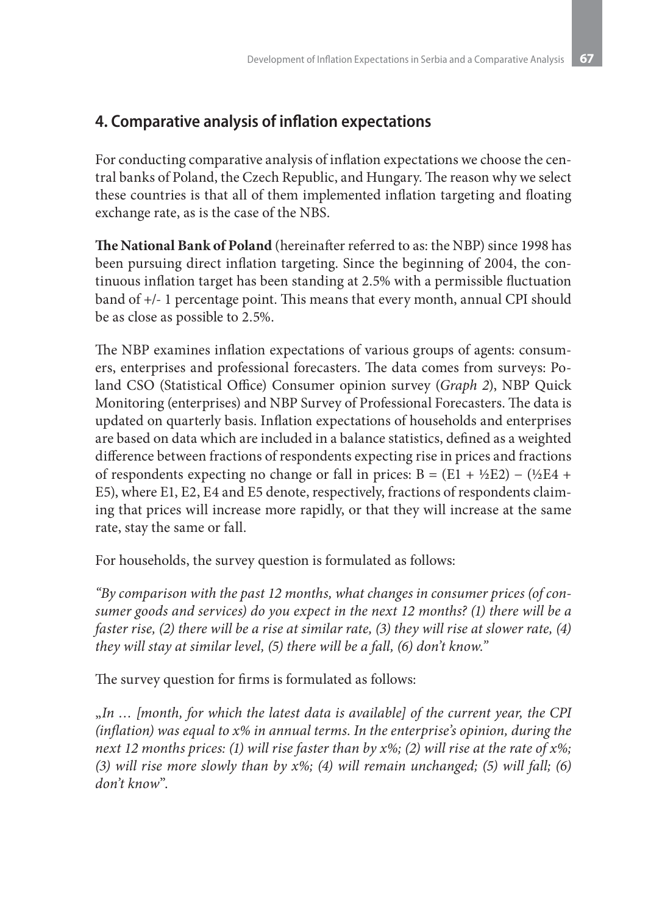## **4. Comparative analysis of inflation expectations**

For conducting comparative analysis of inflation expectations we choose the central banks of Poland, the Czech Republic, and Hungary. The reason why we select these countries is that all of them implemented inflation targeting and floating exchange rate, as is the case of the NBS.

**The National Bank of Poland** (hereinafter referred to as: the NBP) since 1998 has been pursuing direct inflation targeting. Since the beginning of 2004, the continuous inflation target has been standing at 2.5% with a permissible fluctuation band of +/- 1 percentage point. This means that every month, annual CPI should be as close as possible to 2.5%.

The NBP examines inflation expectations of various groups of agents: consumers, enterprises and professional forecasters. The data comes from surveys: Poland CSO (Statistical Office) Consumer opinion survey (*Graph 2*), NBP Quick Monitoring (enterprises) and NBP Survey of Professional Forecasters. The data is updated on quarterly basis. Inflation expectations of households and enterprises are based on data which are included in a balance statistics, defined as a weighted difference between fractions of respondents expecting rise in prices and fractions of respondents expecting no change or fall in prices:  $B = (E1 + \frac{1}{2}E2) - (\frac{1}{2}E4 +$ E5), where E1, E2, E4 and E5 denote, respectively, fractions of respondents claiming that prices will increase more rapidly, or that they will increase at the same rate, stay the same or fall.

For households, the survey question is formulated as follows:

*"By comparison with the past 12 months, what changes in consumer prices (of consumer goods and services) do you expect in the next 12 months? (1) there will be a faster rise, (2) there will be a rise at similar rate, (3) they will rise at slower rate, (4) they will stay at similar level, (5) there will be a fall, (6) don't know."*

The survey question for firms is formulated as follows:

"*In … [month, for which the latest data is available] of the current year, the CPI (inflation) was equal to x% in annual terms. In the enterprise's opinion, during the next 12 months prices: (1) will rise faster than by x%; (2) will rise at the rate of x%; (3) will rise more slowly than by x%; (4) will remain unchanged; (5) will fall; (6) don't know*".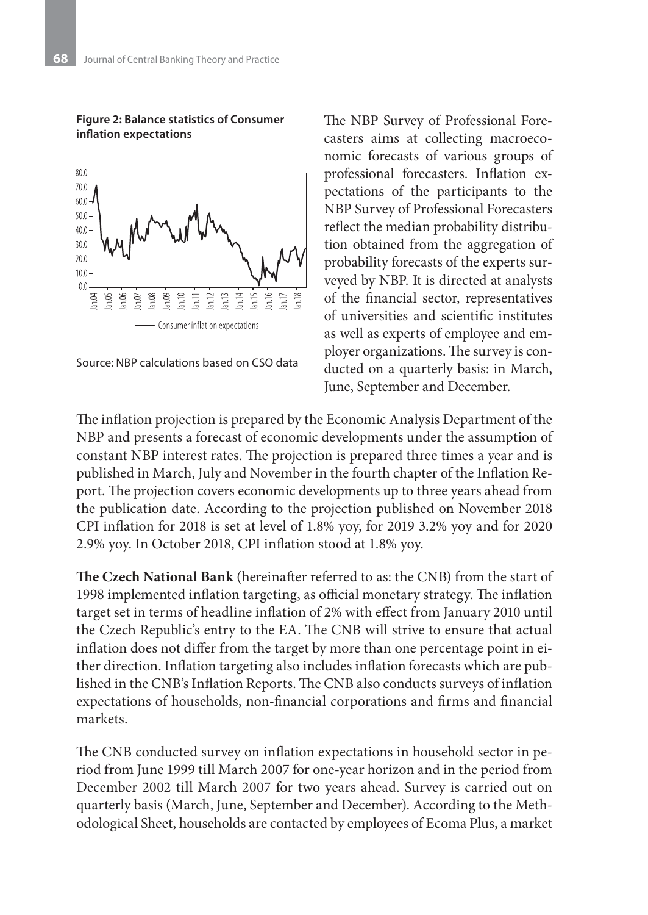#### 80.0  $70.0 -$ 60.0 50.0  $40.0$  $30.0$  $20.0$  $10.0$  $an.04$  $an.06$  $an05$  $an.09$  $\ln 10$  $\sin 12$  $\lim_{n \to \infty}$ an.16  $an 07$ an.08  $tan 11$ an.14  $\widetilde{\Xi}$ Ē ī - Consumer inflation expectations

#### **Figure 2: Balance statistics of Consumer inflation expectations**



The NBP Survey of Professional Forecasters aims at collecting macroeconomic forecasts of various groups of professional forecasters. Inflation expectations of the participants to the NBP Survey of Professional Forecasters reflect the median probability distribution obtained from the aggregation of probability forecasts of the experts surveyed by NBP. It is directed at analysts of the financial sector, representatives of universities and scientific institutes as well as experts of employee and employer organizations. The survey is conducted on a quarterly basis: in March, June, September and December.

The inflation projection is prepared by the Economic Analysis Department of the NBP and presents a forecast of economic developments under the assumption of constant NBP interest rates. The projection is prepared three times a year and is published in March, July and November in the fourth chapter of the Inflation Report. The projection covers economic developments up to three years ahead from the publication date. According to the projection published on November 2018 CPI inflation for 2018 is set at level of 1.8% yoy, for 2019 3.2% yoy and for 2020 2.9% yoy. In October 2018, CPI inflation stood at 1.8% yoy.

**The Czech National Bank** (hereinafter referred to as: the CNB) from the start of 1998 implemented inflation targeting, as official monetary strategy. The inflation target set in terms of headline inflation of 2% with effect from January 2010 until the Czech Republic's entry to the EA. The CNB will strive to ensure that actual inflation does not differ from the target by more than one percentage point in either direction. Inflation targeting also includes inflation forecasts which are published in the CNB's Inflation Reports. The CNB also conducts surveys of inflation expectations of households, non-financial corporations and firms and financial markets.

The CNB conducted survey on inflation expectations in household sector in period from June 1999 till March 2007 for one-year horizon and in the period from December 2002 till March 2007 for two years ahead. Survey is carried out on quarterly basis (March, June, September and December). According to the Methodological Sheet, households are contacted by employees of Ecoma Plus, a market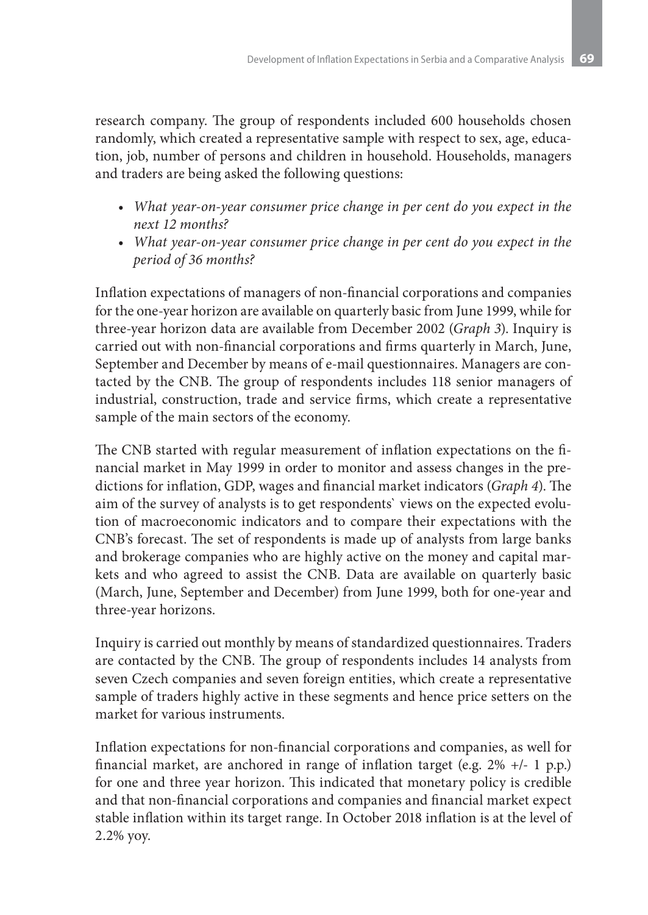research company. The group of respondents included 600 households chosen randomly, which created a representative sample with respect to sex, age, education, job, number of persons and children in household. Households, managers and traders are being asked the following questions:

- *• What year-on-year consumer price change in per cent do you expect in the next 12 months?*
- *• What year-on-year consumer price change in per cent do you expect in the period of 36 months?*

Inflation expectations of managers of non-financial corporations and companies for the one-year horizon are available on quarterly basic from June 1999, while for three-year horizon data are available from December 2002 (*Graph 3*). Inquiry is carried out with non-financial corporations and firms quarterly in March, June, September and December by means of e-mail questionnaires. Managers are contacted by the CNB. The group of respondents includes 118 senior managers of industrial, construction, trade and service firms, which create a representative sample of the main sectors of the economy.

The CNB started with regular measurement of inflation expectations on the financial market in May 1999 in order to monitor and assess changes in the predictions for inflation, GDP, wages and financial market indicators (*Graph 4*). The aim of the survey of analysts is to get respondents` views on the expected evolution of macroeconomic indicators and to compare their expectations with the CNB's forecast. The set of respondents is made up of analysts from large banks and brokerage companies who are highly active on the money and capital markets and who agreed to assist the CNB. Data are available on quarterly basic (March, June, September and December) from June 1999, both for one-year and three-year horizons.

Inquiry is carried out monthly by means of standardized questionnaires. Traders are contacted by the CNB. The group of respondents includes 14 analysts from seven Czech companies and seven foreign entities, which create a representative sample of traders highly active in these segments and hence price setters on the market for various instruments.

Inflation expectations for non-financial corporations and companies, as well for financial market, are anchored in range of inflation target (e.g. 2% +/- 1 p.p.) for one and three year horizon. This indicated that monetary policy is credible and that non-financial corporations and companies and financial market expect stable inflation within its target range. In October 2018 inflation is at the level of 2.2% yoy.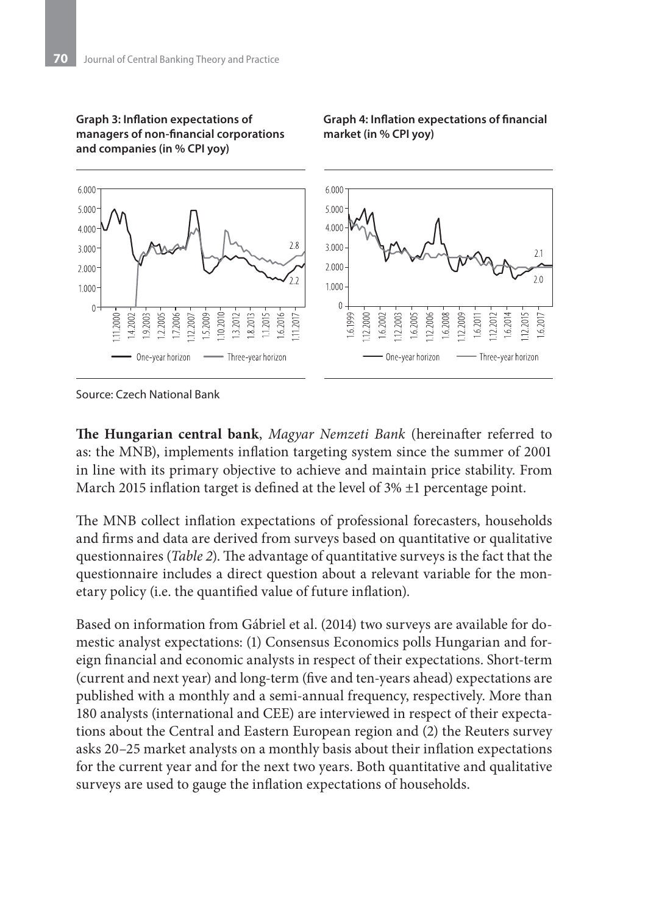

#### **Graph 3: Inflation expectations of managers of non-financial corporations and companies (in % CPI yoy)**

**market (in % CPI yoy)**

**Graph 4: Inflation expectations of financial** 

Source: Czech National Bank

**The Hungarian central bank**, *Magyar Nemzeti Bank* (hereinafter referred to as: the MNB), implements inflation targeting system since the summer of 2001 in line with its primary objective to achieve and maintain price stability. From March 2015 inflation target is defined at the level of 3% ±1 percentage point.

The MNB collect inflation expectations of professional forecasters, households and firms and data are derived from surveys based on quantitative or qualitative questionnaires (*Table 2*). The advantage of quantitative surveys is the fact that the questionnaire includes a direct question about a relevant variable for the monetary policy (i.e. the quantified value of future inflation).

Based on information from Gábriel et al. (2014) two surveys are available for domestic analyst expectations: (1) Consensus Economics polls Hungarian and foreign financial and economic analysts in respect of their expectations. Short-term (current and next year) and long-term (five and ten-years ahead) expectations are published with a monthly and a semi-annual frequency, respectively. More than 180 analysts (international and CEE) are interviewed in respect of their expectations about the Central and Eastern European region and (2) the Reuters survey asks 20–25 market analysts on a monthly basis about their inflation expectations for the current year and for the next two years. Both quantitative and qualitative surveys are used to gauge the inflation expectations of households.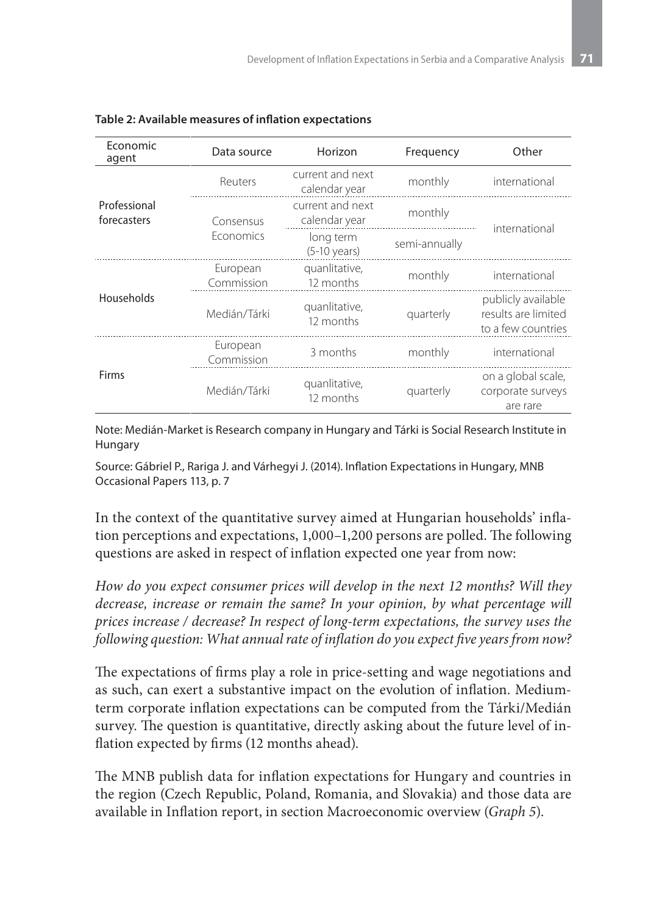| Economic<br>agent           | Data source            | Horizon                             | Frequency     | Other                                                           |  |
|-----------------------------|------------------------|-------------------------------------|---------------|-----------------------------------------------------------------|--|
|                             | Reuters                | current and next<br>calendar year   | monthly       | international                                                   |  |
| Professional<br>forecasters | Consensus              | current and next<br>calendar year   | monthly       | international                                                   |  |
|                             | <b>Fconomics</b>       | long term<br>$(5-10 \text{ years})$ | semi-annually |                                                                 |  |
|                             | European<br>Commission | quanlitative,<br>12 months          | monthly       | international                                                   |  |
| Households                  | Medián/Tárki           | quanlitative,<br>12 months          | quarterly     | publicly available<br>results are limited<br>to a few countries |  |
|                             | European<br>Commission | 3 months                            | monthly       | international                                                   |  |
| Firms                       | Medián/Tárki           | quanlitative,<br>12 months          | quarterly     | on a global scale,<br>corporate surveys<br>are rare             |  |

|  | Table 2: Available measures of inflation expectations |  |
|--|-------------------------------------------------------|--|
|--|-------------------------------------------------------|--|

Note: Medián-Market is Research company in Hungary and Tárki is Social Research Institute in Hungary

Source: Gábriel P., Rariga J. and Várhegyi J. (2014). Inflation Expectations in Hungary, MNB Occasional Papers 113, p. 7

In the context of the quantitative survey aimed at Hungarian households' inflation perceptions and expectations, 1,000–1,200 persons are polled. The following questions are asked in respect of inflation expected one year from now:

*How do you expect consumer prices will develop in the next 12 months? Will they decrease, increase or remain the same? In your opinion, by what percentage will prices increase / decrease? In respect of long-term expectations, the survey uses the following question: What annual rate of inflation do you expect five years from now?*

The expectations of firms play a role in price-setting and wage negotiations and as such, can exert a substantive impact on the evolution of inflation. Mediumterm corporate inflation expectations can be computed from the Tárki/Medián survey. The question is quantitative, directly asking about the future level of inflation expected by firms (12 months ahead).

The MNB publish data for inflation expectations for Hungary and countries in the region (Czech Republic, Poland, Romania, and Slovakia) and those data are available in Inflation report, in section Macroeconomic overview (*Graph 5*).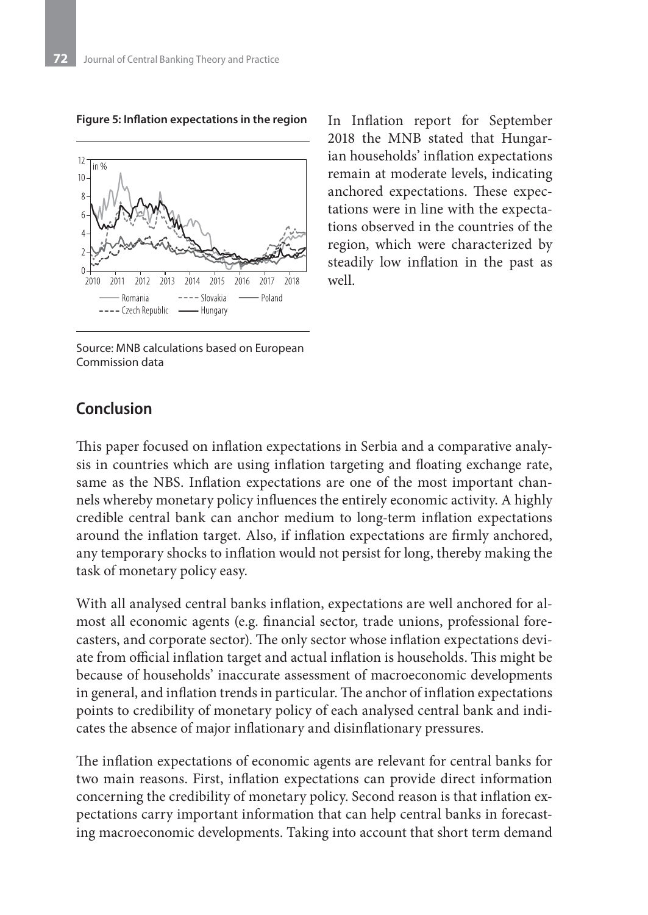12  $10$ 2011 2012  $2013$  $2014$ 2015 2016 2017 2018 2010  $---$ Slovakia - Poland - Romania ---- Czech Republic -- Hungary

**Figure 5: Inflation expectations in the region**

Source: MNB calculations based on European Commission data

In Inflation report for September 2018 the MNB stated that Hungarian households' inflation expectations remain at moderate levels, indicating anchored expectations. These expectations were in line with the expectations observed in the countries of the region, which were characterized by steadily low inflation in the past as well.

### **Conclusion**

This paper focused on inflation expectations in Serbia and a comparative analysis in countries which are using inflation targeting and floating exchange rate, same as the NBS. Inflation expectations are one of the most important channels whereby monetary policy influences the entirely economic activity. A highly credible central bank can anchor medium to long-term inflation expectations around the inflation target. Also, if inflation expectations are firmly anchored, any temporary shocks to inflation would not persist for long, thereby making the task of monetary policy easy.

With all analysed central banks inflation, expectations are well anchored for almost all economic agents (e.g. financial sector, trade unions, professional forecasters, and corporate sector). The only sector whose inflation expectations deviate from official inflation target and actual inflation is households. This might be because of households' inaccurate assessment of macroeconomic developments in general, and inflation trends in particular. The anchor of inflation expectations points to credibility of monetary policy of each analysed central bank and indicates the absence of major inflationary and disinflationary pressures.

The inflation expectations of economic agents are relevant for central banks for two main reasons. First, inflation expectations can provide direct information concerning the credibility of monetary policy. Second reason is that inflation expectations carry important information that can help central banks in forecasting macroeconomic developments. Taking into account that short term demand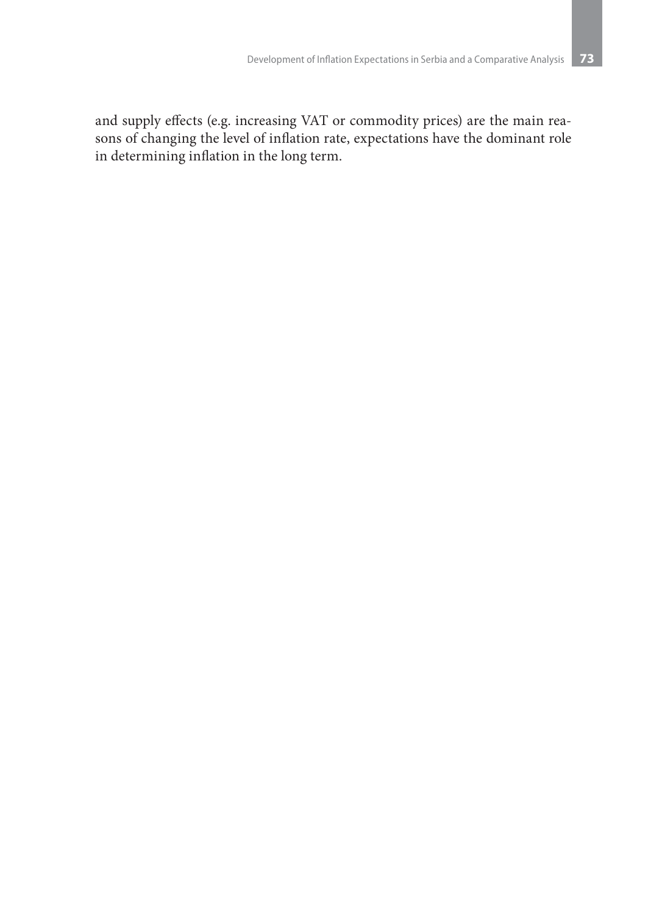and supply effects (e.g. increasing VAT or commodity prices) are the main reasons of changing the level of inflation rate, expectations have the dominant role in determining inflation in the long term.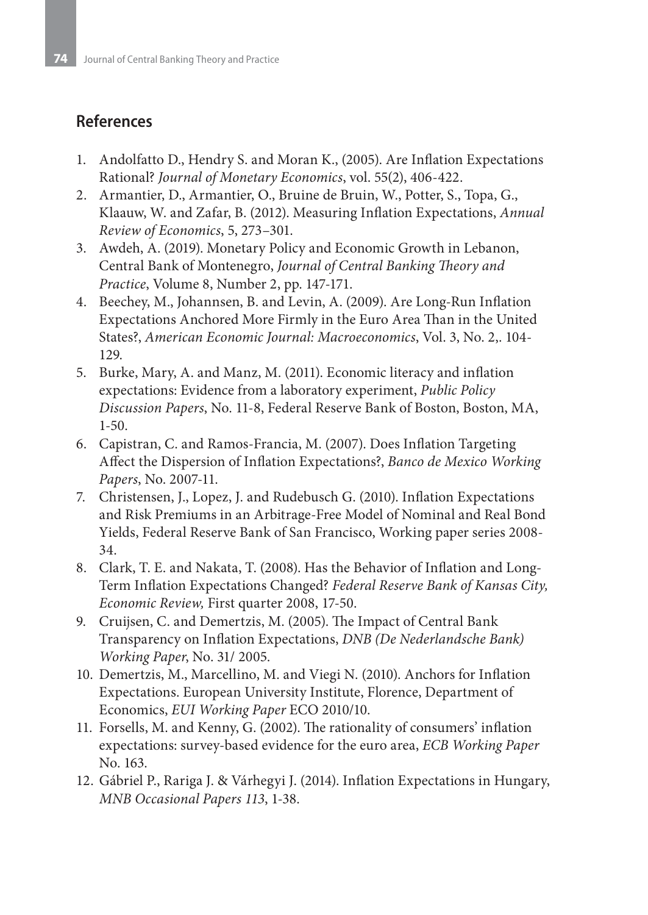### **References**

- 1. Andolfatto D., Hendry S. and Moran K., (2005). Are Inflation Expectations Rational? *Journal of Monetary Economics*, vol. 55(2), 406-422.
- 2. Armantier, D., Armantier, O., Bruine de Bruin, W., Potter, S., Topa, G., Klaauw, W. and Zafar, B. (2012). Measuring Inflation Expectations, *Annual Review of Economics*, 5, 273–301.
- 3. Awdeh, A. (2019). Monetary Policy and Economic Growth in Lebanon, Central Bank of Montenegro, *Journal of Central Banking Theory and Practice*, Volume 8, Number 2, pp. 147-171.
- 4. Beechey, M., Johannsen, B. and Levin, A. (2009). Are Long-Run Inflation Expectations Anchored More Firmly in the Euro Area Than in the United States?, *American Economic Journal: Macroeconomics*, Vol. 3, No. 2,. 104- 129.
- 5. Burke, Mary, A. and Manz, M. (2011). Economic literacy and inflation expectations: Evidence from a laboratory experiment, *Public Policy Discussion Papers*, No. 11-8, Federal Reserve Bank of Boston, Boston, MA, 1-50.
- 6. Capistran, C. and Ramos-Francia, M. (2007). Does Inflation Targeting Affect the Dispersion of Inflation Expectations?, *Banco de Mexico Working Papers*, No. 2007-11.
- 7. Christensen, J., Lopez, J. and Rudebusch G. (2010). Inflation Expectations and Risk Premiums in an Arbitrage-Free Model of Nominal and Real Bond Yields, Federal Reserve Bank of San Francisco, Working paper series 2008- 34.
- 8. Clark, T. E. and Nakata, T. (2008). Has the Behavior of Inflation and Long-Term Inflation Expectations Changed? *Federal Reserve Bank of Kansas City, Economic Review,* First quarter 2008, 17-50.
- 9. Cruijsen, C. and Demertzis, M. (2005). The Impact of Central Bank Transparency on Inflation Expectations, *DNB (De Nederlandsche Bank) Working Paper*, No. 31/ 2005.
- 10. Demertzis, M., Marcellino, M. and Viegi N. (2010). Anchors for Inflation Expectations. European University Institute, Florence, Department of Economics, *EUI Working Paper* ECO 2010/10.
- 11. Forsells, M. and Kenny, G. (2002). The rationality of consumers' inflation expectations: survey-based evidence for the euro area, *ECB Working Paper* No. 163.
- 12. Gábriel P., Rariga J. & Várhegyi J. (2014). Inflation Expectations in Hungary, *MNB Occasional Papers 113*, 1-38.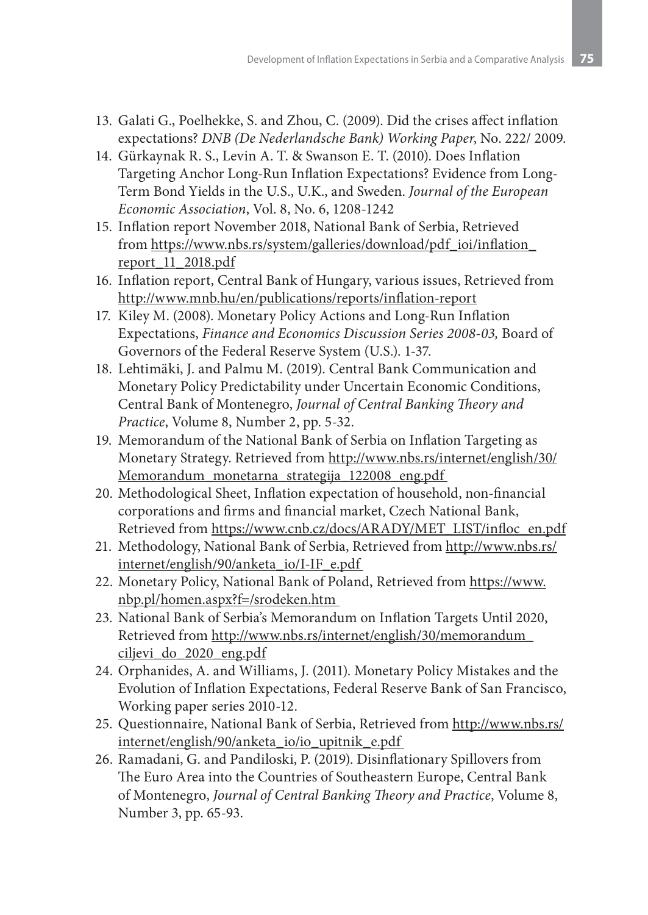- 13. Galati G., Poelhekke, S. and Zhou, C. (2009). Did the crises affect inflation expectations? *DNB (De Nederlandsche Bank) Working Paper*, No. 222/ 2009.
- 14. Gürkaynak R. S., Levin A. T. & Swanson E. T. (2010). Does Inflation Targeting Anchor Long-Run Inflation Expectations? Evidence from Long-Term Bond Yields in the U.S., U.K., and Sweden. *Journal of the European Economic Association*, Vol. 8, No. 6, 1208-1242
- 15. Inflation report November 2018, National Bank of Serbia, Retrieved from https://www.nbs.rs/system/galleries/download/pdf\_ioi/inflation\_ report\_11\_2018.pdf
- 16. Inflation report, Central Bank of Hungary, various issues, Retrieved from http://www.mnb.hu/en/publications/reports/inflation-report
- 17. Kiley M. (2008). Monetary Policy Actions and Long-Run Inflation Expectations, *Finance and Economics Discussion Series 2008-03,* Board of Governors of the Federal Reserve System (U.S.). 1-37.
- 18. Lehtimäki, J. and Palmu M. (2019). Central Bank Communication and Monetary Policy Predictability under Uncertain Economic Conditions, Central Bank of Montenegro, *Journal of Central Banking Theory and Practice*, Volume 8, Number 2, pp. 5-32.
- 19. Memorandum of the National Bank of Serbia on Inflation Targeting as Monetary Strategy. Retrieved from http://www.nbs.rs/internet/english/30/ Memorandum\_monetarna\_strategija\_122008\_eng.pdf
- 20. Methodological Sheet, Inflation expectation of household, non-financial corporations and firms and financial market, Czech National Bank, Retrieved from https://www.cnb.cz/docs/ARADY/MET\_LIST/infloc\_en.pdf
- 21. Methodology, National Bank of Serbia, Retrieved from http://www.nbs.rs/ internet/english/90/anketa\_io/I-IF\_e.pdf
- 22. Monetary Policy, National Bank of Poland, Retrieved from https://www. nbp.pl/homen.aspx?f=/srodeken.htm
- 23. National Bank of Serbia's Memorandum on Inflation Targets Until 2020, Retrieved from http://www.nbs.rs/internet/english/30/memorandum\_ ciljevi\_do\_2020\_eng.pdf
- 24. Orphanides, A. and Williams, J. (2011). Monetary Policy Mistakes and the Evolution of Inflation Expectations, Federal Reserve Bank of San Francisco, Working paper series 2010-12.
- 25. Questionnaire, National Bank of Serbia, Retrieved from http://www.nbs.rs/ internet/english/90/anketa\_io/io\_upitnik\_e.pdf
- 26. Ramadani, G. and Pandiloski, P. (2019). Disinflationary Spillovers from The Euro Area into the Countries of Southeastern Europe, Central Bank of Montenegro, *Journal of Central Banking Theory and Practice*, Volume 8, Number 3, pp. 65-93.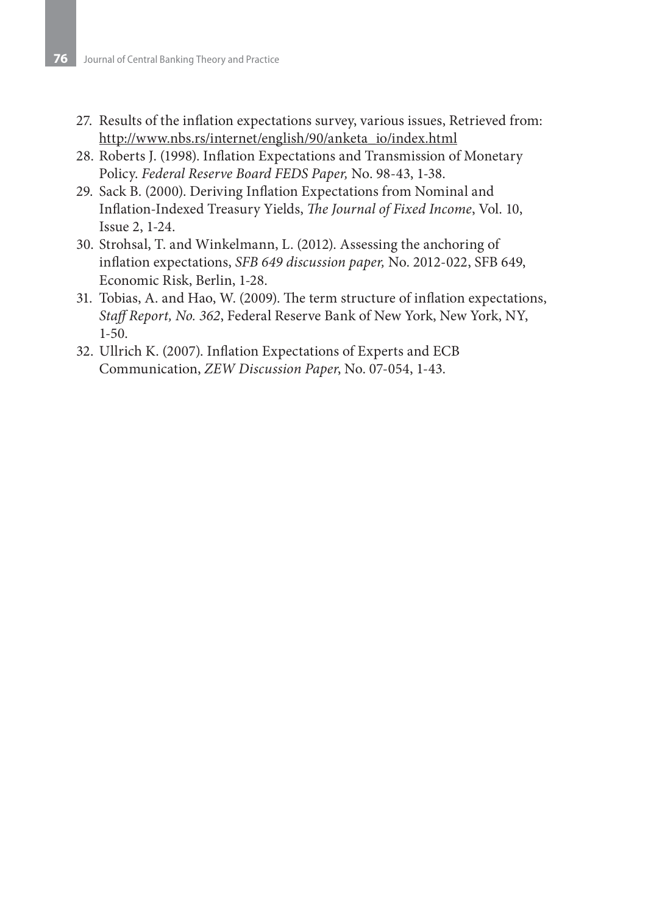- 27. Results of the inflation expectations survey, various issues, Retrieved from: http://www.nbs.rs/internet/english/90/anketa\_io/index.html
- 28. Roberts J. (1998). Inflation Expectations and Transmission of Monetary Policy. *Federal Reserve Board FEDS Paper,* No. 98-43, 1-38.
- 29. Sack B. (2000). Deriving Inflation Expectations from Nominal and Inflation-Indexed Treasury Yields, *The Journal of Fixed Income*, Vol. 10, Issue 2, 1-24.
- 30. Strohsal, T. and Winkelmann, L. (2012). Assessing the anchoring of inflation expectations, *SFB 649 discussion paper,* No. 2012-022, SFB 649, Economic Risk, Berlin, 1-28.
- 31. Tobias, A. and Hao, W. (2009). The term structure of inflation expectations, *Staff Report, No. 362*, Federal Reserve Bank of New York, New York, NY, 1-50.
- 32. Ullrich K. (2007). Inflation Expectations of Experts and ECB Communication, *ZEW Discussion Paper*, No. 07-054, 1-43.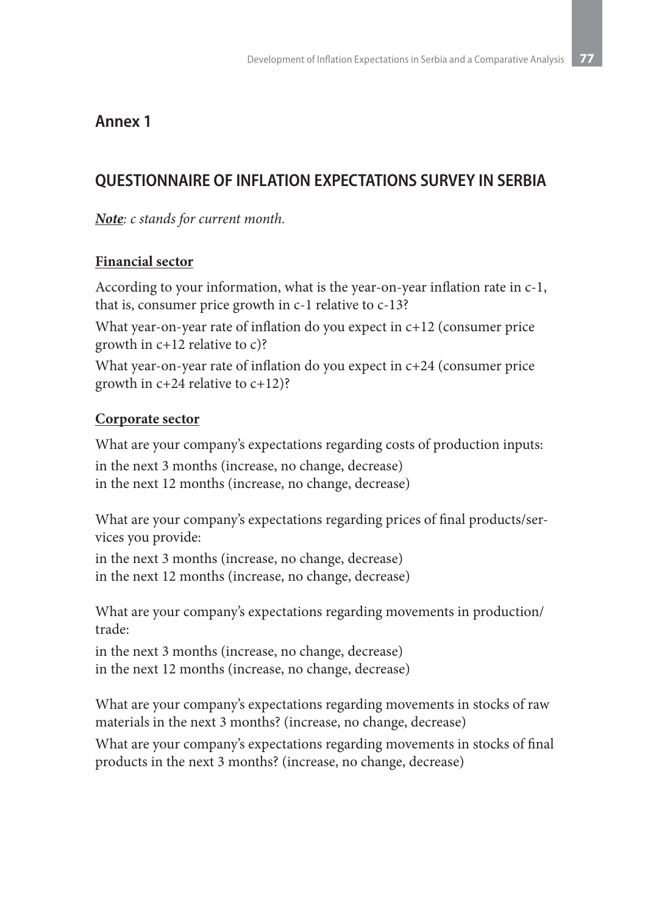### **Annex 1**

### **QUESTIONNAIRE OF INFLATION EXPECTATIONS SURVEY IN SERBIA**

*Note: c stands for current month.*

### **Financial sector**

According to your information, what is the year-on-year inflation rate in c-1, that is, consumer price growth in c-1 relative to c-13?

What year-on-year rate of inflation do you expect in  $c+12$  (consumer price growth in c+12 relative to c)?

What year-on-year rate of inflation do you expect in c+24 (consumer price growth in c+24 relative to c+12)?

### **Corporate sector**

What are your company's expectations regarding costs of production inputs: in the next 3 months (increase, no change, decrease) in the next 12 months (increase, no change, decrease)

What are your company's expectations regarding prices of final products/services you provide:

in the next 3 months (increase, no change, decrease) in the next 12 months (increase, no change, decrease)

What are your company's expectations regarding movements in production/ trade:

in the next 3 months (increase, no change, decrease) in the next 12 months (increase, no change, decrease)

What are your company's expectations regarding movements in stocks of raw materials in the next 3 months? (increase, no change, decrease)

What are your company's expectations regarding movements in stocks of final products in the next 3 months? (increase, no change, decrease)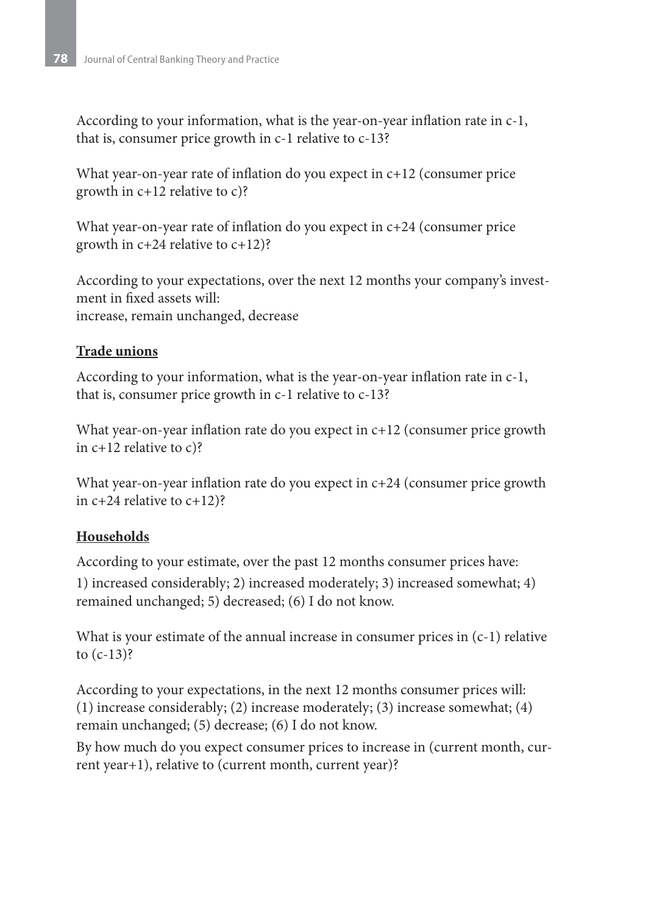According to your information, what is the year-on-year inflation rate in c-1, that is, consumer price growth in c-1 relative to c-13?

What year-on-year rate of inflation do you expect in  $c+12$  (consumer price growth in c+12 relative to c)?

What year-on-year rate of inflation do you expect in  $c+24$  (consumer price growth in c+24 relative to c+12)?

According to your expectations, over the next 12 months your company's investment in fixed assets will: increase, remain unchanged, decrease

### **Trade unions**

According to your information, what is the year-on-year inflation rate in c-1, that is, consumer price growth in c-1 relative to c-13?

What year-on-year inflation rate do you expect in  $c+12$  (consumer price growth in c+12 relative to c)?

What year-on-year inflation rate do you expect in c+24 (consumer price growth in c+24 relative to c+12)?

### **Households**

According to your estimate, over the past 12 months consumer prices have:

1) increased considerably; 2) increased moderately; 3) increased somewhat; 4) remained unchanged; 5) decreased; (6) I do not know.

What is your estimate of the annual increase in consumer prices in (c-1) relative to  $(c-13)$ ?

According to your expectations, in the next 12 months consumer prices will: (1) increase considerably; (2) increase moderately; (3) increase somewhat; (4) remain unchanged; (5) decrease; (6) I do not know.

By how much do you expect consumer prices to increase in (current month, current year+1), relative to (current month, current year)?